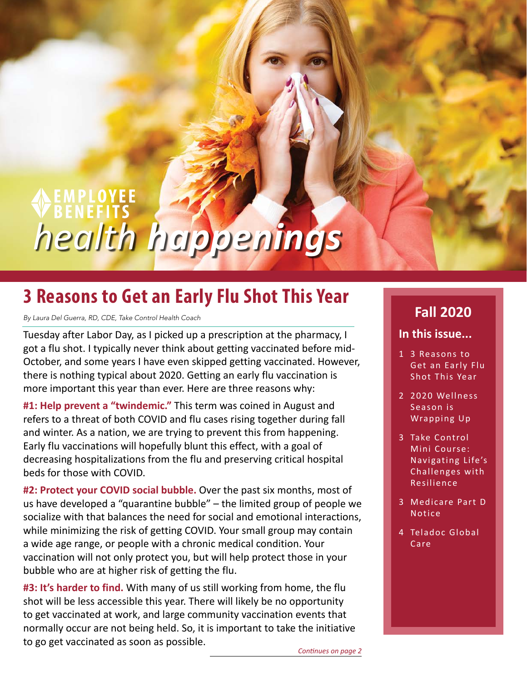# *health happenings*

# **3 Reasons to Get an Early Flu Shot This Year**

*By Laura Del Guerra, RD, CDE, Take Control Health Coach*

Tuesday after Labor Day, as I picked up a prescription at the pharmacy, I got a flu shot. I typically never think about getting vaccinated before mid-October, and some years I have even skipped getting vaccinated. However, there is nothing typical about 2020. Getting an early flu vaccination is more important this year than ever. Here are three reasons why:

**#1: Help prevent a "twindemic."** This term was coined in August and refers to a threat of both COVID and flu cases rising together during fall and winter. As a nation, we are trying to prevent this from happening. Early flu vaccinations will hopefully blunt this effect, with a goal of decreasing hospitalizations from the flu and preserving critical hospital beds for those with COVID.

**#2: Protect your COVID social bubble.** Over the past six months, most of us have developed a "quarantine bubble" – the limited group of people we socialize with that balances the need for social and emotional interactions, while minimizing the risk of getting COVID. Your small group may contain a wide age range, or people with a chronic medical condition. Your vaccination will not only protect you, but will help protect those in your bubble who are at higher risk of getting the flu.

**#3: It's harder to find.** With many of us still working from home, the flu shot will be less accessible this year. There will likely be no opportunity to get vaccinated at work, and large community vaccination events that normally occur are not being held. So, it is important to take the initiative to go get vaccinated as soon as possible.

## **Fall 2020**

#### **In this issue...**

- 1 3 Reasons to Get an Early Flu Shot This Year
- 2 [2020 Wellness](#page-1-0)  [Season is](#page-1-0)  [Wrapping Up](#page-1-0)
- 3 [Take Control](#page-2-0)  [Mini Course:](#page-2-0)  [Navigating Life's](#page-2-0)  [Challenges with](#page-2-0)  [Resilience](#page-2-0)
- 3 [Medicare Part D](#page-2-0)  [Notice](#page-2-0)
- 4 [Teladoc Global](#page-3-0)  [Care](#page-3-0)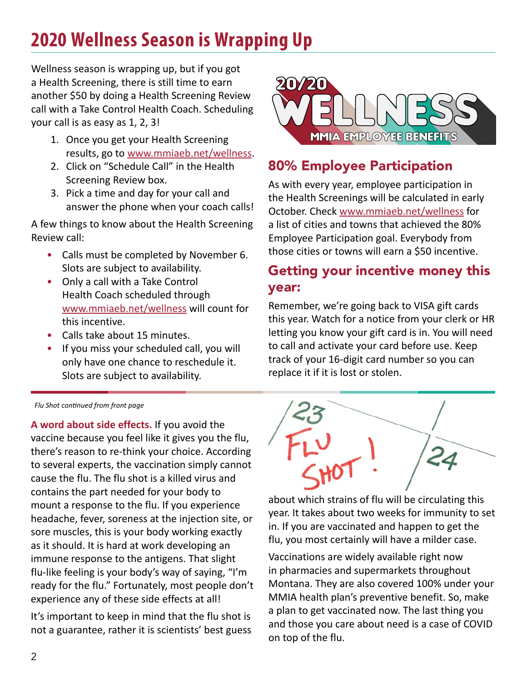# <span id="page-1-0"></span>**2020 Wellness Season is Wrapping Up**

Wellness season is wrapping up, but if you got a Health Screening, there is still time to earn another \$50 by doing a Health Screening Review call with a Take Control Health Coach. Scheduling your call is as easy as 1, 2, 3!

- 1. Once you get your Health Screening results, go to [www.mmiaeb.net/wellness.](http://www.mmiaeb.net/wellness)
- 2. Click on "Schedule Call" in the Health Screening Review box.
- 3. Pick a time and day for your call and answer the phone when your coach calls!

A few things to know about the Health Screening Review call:

- Calls must be completed by November 6. Slots are subject to availability.
- Only a call with a Take Control Health Coach scheduled through [www.mmiaeb.net/wellness](http://www.mmiaeb.net/wellness) will count for this incentive.
- Calls take about 15 minutes.
- If you miss your scheduled call, you will only have one chance to reschedule it. Slots are subject to availability.

#### *Flu Shot continued from front page*

**A word about side effects.** If you avoid the vaccine because you feel like it gives you the flu, there's reason to re-think your choice. According to several experts, the vaccination simply cannot cause the flu. The flu shot is a killed virus and contains the part needed for your body to mount a response to the flu. If you experience headache, fever, soreness at the injection site, or sore muscles, this is your body working exactly as it should. It is hard at work developing an immune response to the antigens. That slight flu-like feeling is your body's way of saying, "I'm ready for the flu." Fortunately, most people don't experience any of these side effects at all!

It's important to keep in mind that the flu shot is not a guarantee, rather it is scientists' best guess



## 80% Employee Participation

As with every year, employee participation in the Health Screenings will be calculated in early October. Check [www.mmiaeb.net/wellness](http://www.mmiaeb.net/wellness) for a list of cities and towns that achieved the 80% Employee Participation goal. Everybody from those cities or towns will earn a \$50 incentive.

## Getting your incentive money this year:

Remember, we're going back to VISA gift cards this year. Watch for a notice from your clerk or HR letting you know your gift card is in. You will need to call and activate your card before use. Keep track of your 16-digit card number so you can replace it if it is lost or stolen.



about which strains of flu will be circulating this year. It takes about two weeks for immunity to set in. If you are vaccinated and happen to get the flu, you most certainly will have a milder case.

Vaccinations are widely available right now in pharmacies and supermarkets throughout Montana. They are also covered 100% under your MMIA health plan's preventive benefit. So, make a plan to get vaccinated now. The last thing you and those you care about need is a case of COVID on top of the flu.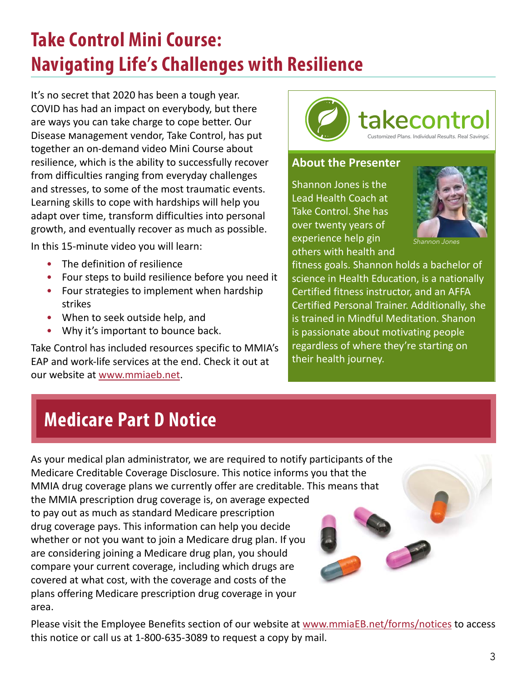# <span id="page-2-0"></span>**Take Control Mini Course: Navigating Life's Challenges with Resilience**

It's no secret that 2020 has been a tough year. COVID has had an impact on everybody, but there are ways you can take charge to cope better. Our Disease Management vendor, Take Control, has put together an on-demand video Mini Course about resilience, which is the ability to successfully recover from difficulties ranging from everyday challenges and stresses, to some of the most traumatic events. Learning skills to cope with hardships will help you adapt over time, transform difficulties into personal growth, and eventually recover as much as possible.

In this 15-minute video you will learn:

- The definition of resilience
- Four steps to build resilience before you need it
- Four strategies to implement when hardship strikes
- When to seek outside help, and
- Why it's important to bounce back.

Take Control has included resources specific to MMIA's EAP and work-life services at the end. Check it out at our website at www.mmiaeb.net.

plans offering Medicare prescription drug coverage in your

area.



#### **About the Presenter**

Shannon Jones is the Lead Health Coach at Take Control. She has over twenty years of experience help gin others with health and



*Shannon Jones*

fitness goals. Shannon holds a bachelor of science in Health Education, is a nationally Certified fitness instructor, and an AFFA Certified Personal Trainer. Additionally, she is trained in Mindful Meditation. Shanon is passionate about motivating people regardless of where they're starting on their health journey.

# **Medicare Part D Notice**

As your medical plan administrator, we are required to notify participants of the Medicare Creditable Coverage Disclosure. This notice informs you that the MMIA drug coverage plans we currently offer are creditable. This means that the MMIA prescription drug coverage is, on average expected to pay out as much as standard Medicare prescription drug coverage pays. This information can help you decide whether or not you want to join a Medicare drug plan. If you are considering joining a Medicare drug plan, you should compare your current coverage, including which drugs are covered at what cost, with the coverage and costs of the

Please visit the Employee Benefits section of our website at www.mmiaEB.net/forms/notices to access this notice or call us at 1-800-635-3089 to request a copy by mail.